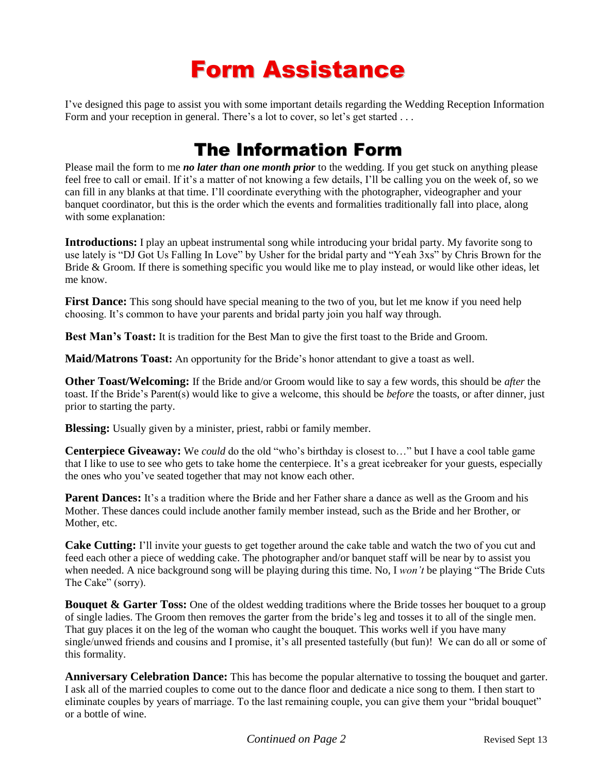# Form Assistance

I've designed this page to assist you with some important details regarding the Wedding Reception Information Form and your reception in general. There's a lot to cover, so let's get started ...

## The Information Form

Please mail the form to me *no later than one month prior* to the wedding. If you get stuck on anything please feel free to call or email. If it's a matter of not knowing a few details, I'll be calling you on the week of, so we can fill in any blanks at that time. I'll coordinate everything with the photographer, videographer and your banquet coordinator, but this is the order which the events and formalities traditionally fall into place, along with some explanation:

**Introductions:** I play an upbeat instrumental song while introducing your bridal party. My favorite song to use lately is "DJ Got Us Falling In Love" by Usher for the bridal party and "Yeah 3xs" by Chris Brown for the Bride & Groom. If there is something specific you would like me to play instead, or would like other ideas, let me know.

**First Dance:** This song should have special meaning to the two of you, but let me know if you need help choosing. It's common to have your parents and bridal party join you half way through.

**Best Man's Toast:** It is tradition for the Best Man to give the first toast to the Bride and Groom.

**Maid/Matrons Toast:** An opportunity for the Bride's honor attendant to give a toast as well.

**Other Toast/Welcoming:** If the Bride and/or Groom would like to say a few words, this should be *after* the toast. If the Bride's Parent(s) would like to give a welcome, this should be *before* the toasts, or after dinner, just prior to starting the party.

**Blessing:** Usually given by a minister, priest, rabbi or family member.

**Centerpiece Giveaway:** We *could* do the old "who's birthday is closest to…" but I have a cool table game that I like to use to see who gets to take home the centerpiece. It's a great icebreaker for your guests, especially the ones who you've seated together that may not know each other.

**Parent Dances:** It's a tradition where the Bride and her Father share a dance as well as the Groom and his Mother. These dances could include another family member instead, such as the Bride and her Brother, or Mother, etc.

**Cake Cutting:** I'll invite your guests to get together around the cake table and watch the two of you cut and feed each other a piece of wedding cake. The photographer and/or banquet staff will be near by to assist you when needed. A nice background song will be playing during this time. No, I *won't* be playing "The Bride Cuts The Cake" (sorry).

**Bouquet & Garter Toss:** One of the oldest wedding traditions where the Bride tosses her bouquet to a group of single ladies. The Groom then removes the garter from the bride's leg and tosses it to all of the single men. That guy places it on the leg of the woman who caught the bouquet. This works well if you have many single/unwed friends and cousins and I promise, it's all presented tastefully (but fun)! We can do all or some of this formality.

**Anniversary Celebration Dance:** This has become the popular alternative to tossing the bouquet and garter. I ask all of the married couples to come out to the dance floor and dedicate a nice song to them. I then start to eliminate couples by years of marriage. To the last remaining couple, you can give them your "bridal bouquet" or a bottle of wine.